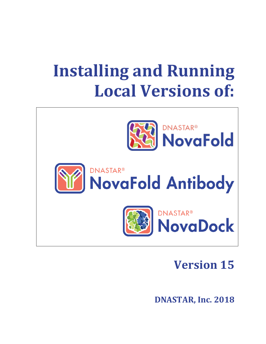# **Installing and Running Local Versions of:**



## **Version 15**

**DNASTAR, Inc. 2018**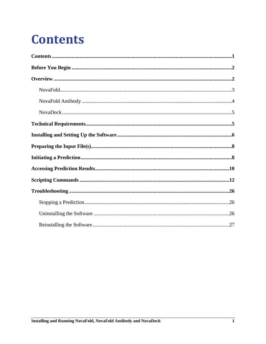# <span id="page-1-0"></span>**Contents**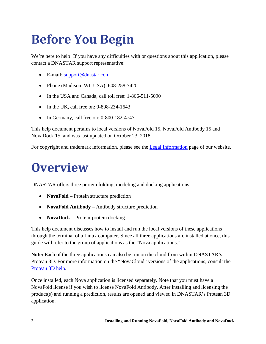# <span id="page-2-0"></span>**Before You Begin**

We're here to help! If you have any difficulties with or questions about this application, please contact a DNASTAR support representative:

- E-mail: [support@dnastar.com](mailto:support@dnastar.com)
- Phone (Madison, WI, USA): 608-258-7420
- In the USA and Canada, call toll free: 1-866-511-5090
- In the UK, call free on: 0-808-234-1643
- In Germany, call free on: 0-800-182-4747

This help document pertains to local versions of NovaFold 15, NovaFold Antibody 15 and NovaDock 15, and was last updated on October 23, 2018.

For copyright and trademark information, please see the [Legal Information](http://www.dnastar.com/t-about-legal.aspx#trademarks) page of our website.

## <span id="page-2-1"></span>**Overview**

DNASTAR offers three protein folding, modeling and docking applications.

- **NovaFold** Protein structure prediction
- **NovaFold Antibody** Antibody structure prediction
- **NovaDock** Protein-protein docking

This help document discusses how to install and run the local versions of these applications through the terminal of a Linux computer. Since all three applications are installed at once, this guide will refer to the group of applications as the "Nova applications."

**Note:** Each of the three applications can also be run on the cloud from within DNASTAR's Protean 3D. For more information on the "NovaCloud" versions of the applications, consult the [Protean 3D help.](http://www.dnastar.com/t-help-protean3d.aspx)

Once installed, each Nova application is licensed separately. Note that you must have a NovaFold license if you wish to license NovaFold Antibody. After installing and licensing the product(s) and running a prediction, results are opened and viewed in DNASTAR's Protean 3D application.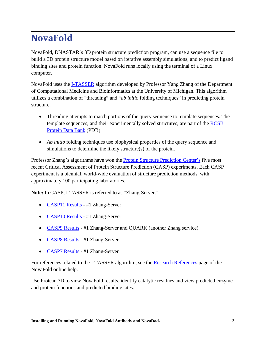## <span id="page-3-0"></span>**NovaFold**

NovaFold, DNASTAR's 3D protein structure prediction program, can use a sequence file to build a 3D protein structure model based on iterative assembly simulations, and to predict ligand binding sites and protein function. NovaFold runs locally using the terminal of a Linux computer.

NovaFold uses the [I-TASSER](http://zhanglab.ccmb.med.umich.edu/I-TASSER/about.html) algorithm developed by Professor Yang Zhang of the Department of Computational Medicine and Bioinformatics at the University of Michigan. This algorithm utilizes a combination of "threading" and "*ab initio* folding techniques" in predicting protein structure.

- Threading attempts to match portions of the query sequence to template sequences. The template sequences, and their experimentally solved structures, are part of the RCSB [Protein Data Bank](http://www.rcsb.org/pdb/home/home.do) (PDB).
- *Ab initio* folding techniques use biophysical properties of the query sequence and simulations to determine the likely structure(s) of the protein.

Professor Zhang's algorithms have won the [Protein Structure Prediction Center's](http://predictioncenter.org/) five most recent Critical Assessment of Protein Structure Prediction (CASP) experiments. Each CASP experiment is a biennial, world-wide evaluation of structure prediction methods, with approximately 100 participating laboratories.

**Note:** In CASP, I-TASSER is referred to as "Zhang-Server."

- [CASP11 Results](http://www.predictioncenter.org/casp11/zscores_final.cgi?model_type=first&gr_type=server_only&tbm=on&tbm_hard=on&tbmfm=on&fm=on) #1 Zhang-Server
- [CASP10 Results](http://www.predictioncenter.org/casp10/groups_analysis.cgi?type=server&tbm=on&tbm_hard=on&tbmfm=on&fm=on&submit=Filter) #1 Zhang-Server
- [CASP9 Results](http://www.predictioncenter.org/casp9/groups_analysis.cgi?type=server&tbm=on&tbmfm=on&fm=on&submit=Filter) #1 Zhang-Server and OUARK (another Zhang service)
- [CASP8 Results](http://predictioncenter.org/casp8/groups_analysis.cgi?target_type=0&gr_type=server&domain_classifications_id=1,2,3,4&field=sum_z_gdt_ts_server_pos) #1 Zhang-Server
- [CASP7 Results](http://zhanglab.ccmb.med.umich.edu/casp7/) #1 Zhang-Server

For references related to the I-TASSER algorithm, see the [Research References](http://www.dnastar.com/novafold_help/index.html#!Documents/researchreferences.htm) page of the NovaFold online help.

Use Protean 3D to view NovaFold results, identify catalytic residues and view predicted enzyme and protein functions and predicted binding sites.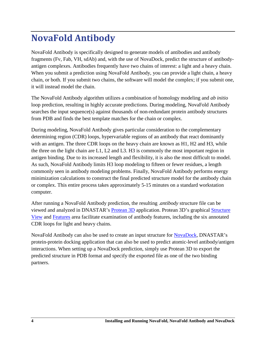### <span id="page-4-0"></span>**NovaFold Antibody**

NovaFold Antibody is specifically designed to generate models of antibodies and antibody fragments (Fv, Fab, VH, sdAb) and, with the use of NovaDock, predict the structure of antibodyantigen complexes. Antibodies frequently have two chains of interest: a light and a heavy chain. When you submit a prediction using NovaFold Antibody, you can provide a light chain, a heavy chain, or both. If you submit two chains, the software will model the complex; if you submit one, it will instead model the chain.

The NovaFold Antibody algorithm utilizes a combination of homology modeling and *ab initio* loop prediction, resulting in highly accurate predictions. During modeling, NovaFold Antibody searches the input sequence(s) against thousands of non-redundant protein antibody structures from PDB and finds the best template matches for the chain or complex.

During modeling, NovaFold Antibody gives particular consideration to the complementary determining region (CDR) loops, hypervariable regions of an antibody that react dominantly with an antigen. The three CDR loops on the heavy chain are known as H1, H2 and H3, while the three on the light chain are L1, L2 and L3. H3 is commonly the most important region in antigen binding. Due to its increased length and flexibility, it is also the most difficult to model. As such, NovaFold Antibody limits H3 loop modeling to fifteen or fewer residues, a length commonly seen in antibody modeling problems. Finally, NovaFold Antibody performs energy minimization calculations to construct the final predicted structure model for the antibody chain or complex. This entire process takes approximately 5-15 minutes on a standard workstation computer.

After running a NovaFold Antibody prediction, the resulting .*antibody* structure file can be viewed and analyzed in DNASTAR's **[Protean 3D](http://www.dnastar.com/t-protean-3d.aspx)** application. Protean 3D's graphical **Structure** [View](http://www.dnastar.com/protean3d_help/Documents/thestructureview.htm) and [Features](http://www.dnastar.com/protean3d_help/Documents/thefeaturesarea.htm) area facilitate examination of antibody features, including the six annotated CDR loops for light and heavy chains.

<span id="page-4-1"></span>NovaFold Antibody can also be used to create an input structure for [NovaDock,](#page-4-1) DNASTAR's protein-protein docking application that can also be used to predict atomic-level antibody/antigen interactions. When setting up a NovaDock prediction, simply use Protean 3D to export the predicted structure in PDB format and specify the exported file as one of the two binding partners.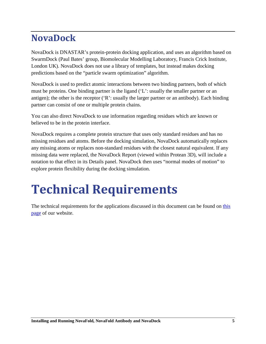### <span id="page-5-0"></span>**NovaDock**

NovaDock is DNASTAR's protein-protein docking application, and uses an algorithm based on SwarmDock (Paul Bates' group, Biomolecular Modelling Laboratory, Francis Crick Institute, London UK). NovaDock does not use a library of templates, but instead makes docking predictions based on the "particle swarm optimization" algorithm.

NovaDock is used to predict atomic interactions between two binding partners, both of which must be proteins. One binding partner is the ligand ('L': usually the smaller partner or an antigen); the other is the receptor ('R': usually the larger partner or an antibody). Each binding partner can consist of one or multiple protein chains.

You can also direct NovaDock to use information regarding residues which are known or believed to be in the protein interface.

NovaDock requires a complete protein structure that uses only standard residues and has no missing residues and atoms. Before the docking simulation, NovaDock automatically replaces any missing atoms or replaces non-standard residues with the closest natural equivalent. If any missing data were replaced, the NovaDock Report (viewed within Protean 3D), will include a notation to that effect in its Details panel. NovaDock then uses "normal modes of motion" to explore protein flexibility during the docking simulation.

## <span id="page-5-1"></span>**Technical Requirements**

The technical requirements for the applications discussed in this document can be found on [this](https://www.dnastar.com/t-technical-requirements-novafold-local.aspx)  [page](https://www.dnastar.com/t-technical-requirements-novafold-local.aspx) of our website.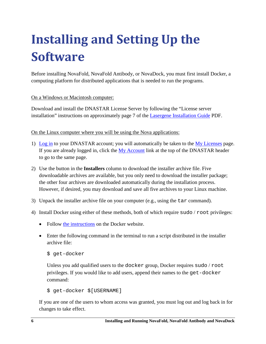# <span id="page-6-0"></span>**Installing and Setting Up the Software**

Before installing NovaFold, NovaFold Antibody, or NovaDock, you must first install Docker, a computing platform for distributed applications that is needed to run the programs.

#### On a Windows or Macintosh computer:

Download and install the DNASTAR License Server by following the "License server installation" instructions on approximately page 7 of the [Lasergene Installation Guide](http://www.dnastar.com/skins/skin_1/pdf/Lasergene-Installation-Guide.pdf) PDF.

On the Linux computer where you will be using the Nova applications:

- 1) [Log in](https://www.dnastar.com/signin.aspx) to your DNASTAR account; you will automatically be taken to the [My Licenses](https://www.dnastar.com/license.aspx) page. If you are already logged in, click the [My Account](https://www.dnastar.com/license.aspx) link at the top of the DNASTAR header to go to the same page.
- 2) Use the button in the **Installers** column to download the installer archive file. Five downloadable archives are available, but you only need to download the installer package; the other four archives are downloaded automatically during the installation process. However, if desired, you may download and save all five archives to your Linux machine.
- 3) Unpack the installer archive file on your computer (e.g., using the tar command).
- 4) Install Docker using either of these methods, both of which require sudo / root privileges:
	- Follow [the instructions](https://docs.docker.com/installation/#installation) on the Docker website.
	- Enter the following command in the terminal to run a script distributed in the installer archive file:

```
$ get-docker
```
Unless you add qualified users to the docker group, Docker requires sudo / root privileges. If you would like to add users, append their names to the get-docker command:

\$ get-docker \$[USERNAME]

If you are one of the users to whom access was granted, you must log out and log back in for changes to take effect.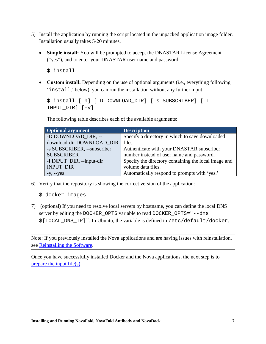- 5) Install the application by running the script located in the unpacked application image folder. Installation usually takes 5-20 minutes.
	- **Simple install:** You will be prompted to accept the DNASTAR License Agreement ("yes"), and to enter your DNASTAR user name and password.

```
$ install
```
• **Custom install:** Depending on the use of optional arguments (i.e., everything following 'install,' below), you can run the installation without any further input:

```
$ install [-h] [-D DOWNLOAD_DIR] [-s SUBSCRIBER] [-I 
INPUT_DIR] [-y]
```
The following table describes each of the available arguments:

| <b>Optional argument</b>    | <b>Description</b>                                   |
|-----------------------------|------------------------------------------------------|
| -D DOWNLOAD DIR, --         | Specify a directory in which to save downloaded      |
| download-dir DOWNLOAD_DIR   | files.                                               |
| -s SUBSCRIBER, --subscriber | Authenticate with your DNASTAR subscriber            |
| <b>SUBSCRIBER</b>           | number instead of user name and password.            |
| -I INPUT_DIR, --input-dir   | Specify the directory containing the local image and |
| <b>INPUT DIR</b>            | volume data files.                                   |
| $-y$ , $-y$ es              | Automatically respond to prompts with 'yes.'         |

- 6) Verify that the repository is showing the correct version of the application:
	- \$ docker images
- 7) (optional) If you need to resolve local servers by hostname, you can define the local DNS server by editing the DOCKER\_OPTS variable to read DOCKER\_OPTS="--dns \$[LOCAL\_DNS\_IP]". In Ubuntu, the variable is defined in /etc/default/docker.

Note: If you previously installed the Nova applications and are having issues with reinstallation, see [Reinstalling the](#page-26-2) Software.

<span id="page-7-0"></span>Once you have successfully installed Docker and the Nova applications, the next step is to [prepare the input file\(s\).](#page-7-0)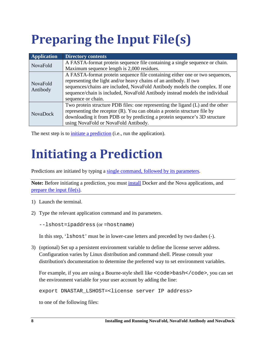# <span id="page-8-0"></span>**Preparing the Input File(s)**

<span id="page-8-2"></span>

| <b>Application</b>          | <b>Directory contents</b>                                                                                                                                                                                                                                                                                                             |
|-----------------------------|---------------------------------------------------------------------------------------------------------------------------------------------------------------------------------------------------------------------------------------------------------------------------------------------------------------------------------------|
| NovaFold                    | A FASTA-format protein sequence file containing a single sequence or chain.                                                                                                                                                                                                                                                           |
|                             | Maximum sequence length is 2,000 residues.                                                                                                                                                                                                                                                                                            |
| <b>NovaFold</b><br>Antibody | A FASTA-format protein sequence file containing either one or two sequences,<br>representing the light and/or heavy chains of an antibody. If two<br>sequences/chains are included, NovaFold Antibody models the complex. If one<br>sequence/chain is included, NovaFold Antibody instead models the individual<br>sequence or chain. |
| <b>NovaDock</b>             | Two protein structure PDB files: one representing the ligand (L) and the other<br>representing the receptor (R). You can obtain a protein structure file by<br>downloading it from PDB or by predicting a protein sequence's 3D structure<br>using NovaFold or NovaFold Antibody.                                                     |

The next step is to initiate [a prediction](#page-8-1) (i.e., run the application).

## <span id="page-8-1"></span>**Initiating a Prediction**

Predictions are initiated by typing a single [command, followed by](#page-12-0) its parameters.

Note: Before initiating a prediction, you must *install* Docker and the Nova applications, and [prepare the input file\(s\).](#page-7-0)

- 1) Launch the terminal.
- 2) Type the relevant application command and its parameters.

--lshost=ipaddress (or =hostname)

In this step, 'lshost' must be in lower-case letters and preceded by two dashes (-).

3) (optional) Set up a persistent environment variable to define the license server address. Configuration varies by Linux distribution and command shell. Please consult your distribution's documentation to determine the preferred way to set environment variables.

For example, if you are using a Bourne-style shell like <code>bash</code>, you can set the environment variable for your user account by adding the line:

```
export DNASTAR_LSHOST=<license server IP address>
```
to one of the following files: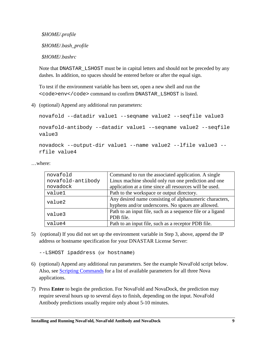*\$HOME/.profile*

 *\$HOME/.bash\_profile*

 *\$HOME/.bashrc*

Note that DNASTAR\_LSHOST must be in capital letters and should not be preceded by any dashes. In addition, no spaces should be entered before or after the equal sign.

To test if the environment variable has been set, open a new shell and run the  $<$ code $>$ env $<$ /code $>$ command to confirm DNASTAR\_LSHOST is listed.

4) (optional) Append any additional run parameters:

```
novafold --datadir value1 --seqname value2 --seqfile value3
novafold-antibody --datadir value1 -–seqname value2 --seqfile 
value3
```

```
novadock --output-dir value1 --name value2 --lfile value3 --
rfile value4
```
…where:

| novafold          | Command to run the associated application. A single        |
|-------------------|------------------------------------------------------------|
| novafold-antibody | Linux machine should only run one prediction and one       |
| novadock          | application at a time since all resources will be used.    |
| value1            | Path to the workspace or output directory.                 |
| value2            | Any desired name consisting of alphanumeric characters,    |
|                   | hyphens and/or underscores. No spaces are allowed.         |
| value3            | Path to an input file, such as a sequence file or a ligand |
|                   | PDB file.                                                  |
| value4            | Path to an input file, such as a receptor PDB file.        |

5) (optional) If you did not set up the environment variable in Step 3, above, append the IP address or hostname specification for your DNASTAR License Server:

--LSHOST ipaddress (or hostname)

- 6) (optional) Append any additional run parameters. See the example NovaFold script below. Also, see [Scripting Commands](#page-12-0) for a list of available parameters for all three Nova applications.
- 7) Press **Enter** to begin the prediction. For NovaFold and NovaDock, the prediction may require several hours up to several days to finish, depending on the input. NovaFold Antibody predictions usually require only about 5-10 minutes.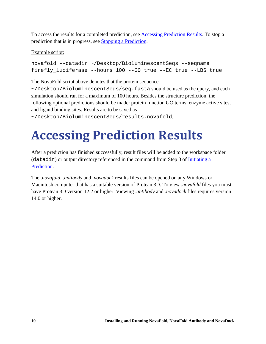To access the results for a completed prediction, see [Accessing Prediction Results.](#page-10-1) To stop a prediction that is in progress, see Stopping a Prediction.

#### <span id="page-10-1"></span>Example script:

```
novafold --datadir ~/Desktop/BioluminescentSeqs --seqname 
firefly_luciferase --hours 100 --GO true --EC true --LBS true
```
The NovaFold script above denotes that the protein sequence

 $\sim$ /Desktop/BioluminescentSeqs/seq.fasta should be used as the query, and each simulation should run for a maximum of 100 hours. Besides the structure prediction, the following optional predictions should be made: protein function GO terms, enzyme active sites, and ligand binding sites. Results are to be saved as

<span id="page-10-0"></span>~/Desktop/BioluminescentSeqs/results.novafold.

# **Accessing Prediction Results**

After a prediction has finished successfully, result files will be added to the workspace folder  $(datadir)$  or output directory referenced in the command from Step 3 of [Initiating](#page-8-1) a [Prediction.](#page-8-1)

The .*novafold*, .*antibody* and .*novadock* results files can be opened on any Windows or Macintosh computer that has a suitable version of Protean 3D. To view .*novafold* files you must have Protean 3D version 12.2 or higher. Viewing .*antibody* and .*novadock* files requires version 14.0 or higher.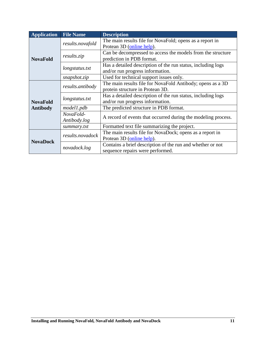| <b>Application</b> | <b>File Name</b> | <b>Description</b>                                            |
|--------------------|------------------|---------------------------------------------------------------|
|                    | results.novafold | The main results file for NovaFold; opens as a report in      |
|                    |                  | Protean 3D (online help).                                     |
|                    | results.zip      | Can be decompressed to access the models from the structure   |
| <b>NovaFold</b>    |                  | prediction in PDB format.                                     |
|                    | longstatus.txt   | Has a detailed description of the run status, including logs  |
|                    |                  | and/or run progress information.                              |
|                    | snapshot.zip     | Used for technical support issues only.                       |
|                    |                  | The main results file for NovaFold Antibody; opens as a 3D    |
|                    | results.antibody | protein structure in Protean 3D.                              |
|                    |                  | Has a detailed description of the run status, including logs  |
| <b>NovaFold</b>    | longstatus.txt   | and/or run progress information.                              |
| <b>Antibody</b>    | model1.pdb       | The predicted structure in PDB format.                        |
|                    | NovaFold-        |                                                               |
|                    | Antibody.log     | A record of events that occurred during the modeling process. |
|                    | summary.txt      | Formatted text file summarizing the project.                  |
|                    | results.novadock | The main results file for NovaDock; opens as a report in      |
| <b>NovaDock</b>    |                  | Protean 3D (online help).                                     |
|                    | novadock.log     | Contains a brief description of the run and whether or not    |
|                    |                  | sequence repairs were performed.                              |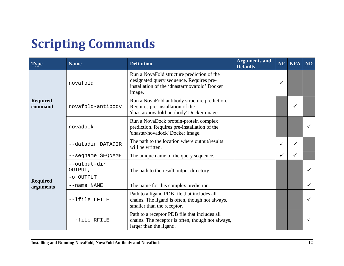## **Scripting Commands**

<span id="page-12-0"></span>

| <b>Type</b>                  | <b>Name</b>                          | <b>Definition</b>                                                                                                                                 | <b>Arguments and</b><br><b>Defaults</b> | <b>NF</b>    | <b>NFA</b>   | <b>ND</b> |
|------------------------------|--------------------------------------|---------------------------------------------------------------------------------------------------------------------------------------------------|-----------------------------------------|--------------|--------------|-----------|
|                              | novafold                             | Run a NovaFold structure prediction of the<br>designated query sequence. Requires pre-<br>installation of the 'dnastar/novafold' Docker<br>image. |                                         | $\checkmark$ |              |           |
| <b>Required</b><br>command   | novafold-antibody                    | Run a NovaFold antibody structure prediction.<br>Requires pre-installation of the<br>'dnastar/novafold-antibody' Docker image.                    |                                         |              | ✓            |           |
|                              | novadock                             | Run a NovaDock protein-protein complex<br>prediction. Requires pre-installation of the<br>'dnastar/novadock' Docker image.                        |                                         |              |              |           |
|                              | --datadir DATADIR                    | The path to the location where output/results<br>will be written.                                                                                 |                                         | $\checkmark$ | ✓            |           |
|                              | --seqname SEQNAME                    | The unique name of the query sequence.                                                                                                            |                                         | $\checkmark$ | $\checkmark$ |           |
|                              | --output-dir<br>OUTPUT,<br>-o OUTPUT | The path to the result output directory.                                                                                                          |                                         |              |              |           |
| <b>Required</b><br>arguments | --name NAME                          | The name for this complex prediction.                                                                                                             |                                         |              |              | ✓         |
|                              | --lfile LFILE                        | Path to a ligand PDB file that includes all<br>chains. The ligand is often, though not always,<br>smaller than the receptor.                      |                                         |              |              |           |
|                              | --rfile RFILE                        | Path to a receptor PDB file that includes all<br>chains. The receptor is often, though not always,<br>larger than the ligand.                     |                                         |              |              |           |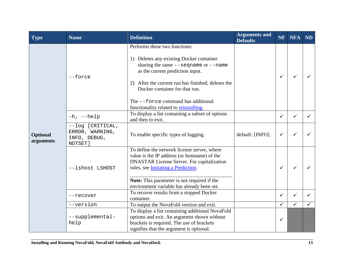| <b>Type</b>                  | <b>Name</b>                                                    | <b>Definition</b>                                                                                                                                                                                                                                                                                                                   | <b>Arguments and</b><br><b>Defaults</b> | <b>NF</b>    | <b>NFA</b>   | <b>ND</b> |
|------------------------------|----------------------------------------------------------------|-------------------------------------------------------------------------------------------------------------------------------------------------------------------------------------------------------------------------------------------------------------------------------------------------------------------------------------|-----------------------------------------|--------------|--------------|-----------|
|                              | $--force$                                                      | Performs these two functions:<br>1) Deletes any existing Docker container<br>sharing the same $-$ -seqname or $-$ -name<br>as the current prediction input.<br>2) After the current run has finished, deletes the<br>Docker container for that run.<br>The --force command has additional<br>functionality related to reinstalling. |                                         | $\checkmark$ |              |           |
|                              | $-h$ , $-help$                                                 | To display a list containing a subset of options<br>and then to exit.                                                                                                                                                                                                                                                               |                                         | $\checkmark$ | ✓            | ✓         |
| <b>Optional</b><br>arguments | --log [CRITICAL,<br>ERROR, WARNING,<br>INFO, DEBUG,<br>NOTSET] | To enable specific types of logging.                                                                                                                                                                                                                                                                                                | default: [INFO]                         | $\checkmark$ |              |           |
|                              | --lshost LSHOST                                                | To define the network license server, where<br>value is the IP address (or hostname) of the<br><b>DNASTAR License Server. For capitalization</b><br>rules, see Initiating a Prediction.<br><b>Note:</b> This parameter is not required if the                                                                                       |                                         | $\checkmark$ |              |           |
|                              | --recover                                                      | environment variable has already been set.<br>To recover results from a stopped Docker<br>container.                                                                                                                                                                                                                                |                                         | $\checkmark$ | ✓            |           |
|                              | --version                                                      | To output the NovaFold version and exit.                                                                                                                                                                                                                                                                                            |                                         | $\checkmark$ | $\checkmark$ |           |
|                              | --supplemental-<br>help                                        | To display a list containing additional NovaFold<br>options and exit. An argument shown without<br>brackets is required. The use of brackets<br>signifies that the argument is optional.                                                                                                                                            |                                         | ✓            |              |           |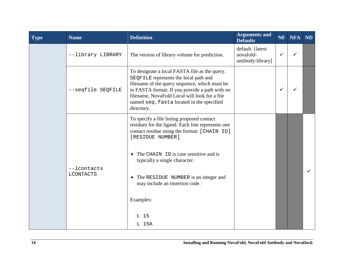| <b>Type</b> | <b>Name</b>                     | <b>Definition</b>                                                                                                                                                                                                                                                                                     | <b>Arguments and</b><br><b>Defaults</b>            | <b>NF</b>    | <b>NFA</b> | <b>ND</b> |
|-------------|---------------------------------|-------------------------------------------------------------------------------------------------------------------------------------------------------------------------------------------------------------------------------------------------------------------------------------------------------|----------------------------------------------------|--------------|------------|-----------|
|             | --library LIBRARY               | The version of library volume for prediction.                                                                                                                                                                                                                                                         | default: [latest<br>novafold-<br>antibody-library] | $\checkmark$ | ✓          |           |
|             | --seqfile SEQFILE               | To designate a local FASTA file as the query.<br>SEQFILE represents the local path and<br>filename of the query sequence, which must be<br>in FASTA format. If you provide a path with no<br>filename, NovaFold Local will look for a file<br>named seq. fasta located in the specified<br>directory. |                                                    | $\checkmark$ |            |           |
|             | --lcontacts<br><b>LCONTACTS</b> | To specify a file listing proposed contact<br>residues for the ligand. Each line represents one<br>contact residue using the format: [CHAIN ID]<br>[RESIDUE NUMBER]                                                                                                                                   |                                                    |              |            |           |
|             |                                 | The CHAIN ID is case sensitive and is<br>typically a single character.                                                                                                                                                                                                                                |                                                    |              |            |           |
|             |                                 | • The RESIDUE NUMBER is an integer and<br>may include an insertion code.                                                                                                                                                                                                                              |                                                    |              |            |           |
|             |                                 | Examples:                                                                                                                                                                                                                                                                                             |                                                    |              |            |           |
|             |                                 | L 15                                                                                                                                                                                                                                                                                                  |                                                    |              |            |           |
|             |                                 | L 15A                                                                                                                                                                                                                                                                                                 |                                                    |              |            |           |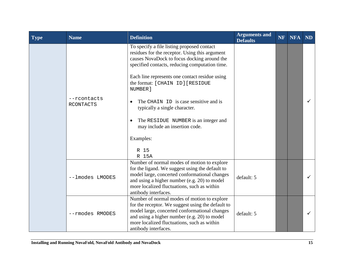| Type | <b>Name</b>                     | <b>Definition</b>                                                                                                                                                                                                                                                                                                                                                                                                                                                               | <b>Arguments and</b><br><b>Defaults</b> | <b>NF</b> | <b>NFA</b> | <b>ND</b> |
|------|---------------------------------|---------------------------------------------------------------------------------------------------------------------------------------------------------------------------------------------------------------------------------------------------------------------------------------------------------------------------------------------------------------------------------------------------------------------------------------------------------------------------------|-----------------------------------------|-----------|------------|-----------|
|      | --rcontacts<br><b>RCONTACTS</b> | To specify a file listing proposed contact<br>residues for the receptor. Using this argument<br>causes NovaDock to focus docking around the<br>specified contacts, reducing computation time.<br>Each line represents one contact residue using<br>the format: [CHAIN ID] [RESIDUE<br>NUMBER]<br>The CHAIN ID is case sensitive and is<br>typically a single character.<br>The RESIDUE NUMBER is an integer and<br>may include an insertion code.<br>Examples:<br>R 15<br>R 15A |                                         |           |            |           |
|      | --lmodes LMODES                 | Number of normal modes of motion to explore<br>for the ligand. We suggest using the default to<br>model large, concerted conformational changes<br>and using a higher number (e.g. 20) to model<br>more localized fluctuations, such as within<br>antibody interfaces.                                                                                                                                                                                                          | default: 5                              |           |            |           |
|      | --rmodes RMODES                 | Number of normal modes of motion to explore<br>for the receptor. We suggest using the default to<br>model large, concerted conformational changes<br>and using a higher number (e.g. 20) to model<br>more localized fluctuations, such as within<br>antibody interfaces.                                                                                                                                                                                                        | default: 5                              |           |            |           |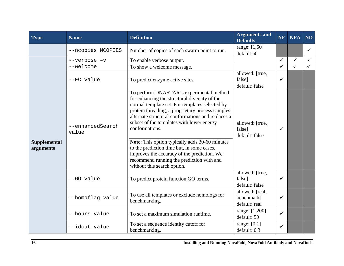| <b>Type</b>                      | <b>Name</b>               | <b>Definition</b>                                                                                                                                                                                                                                                                                                                                                                                                                                                                                                                              | <b>Arguments and</b><br><b>Defaults</b>        | <b>NF</b>    | <b>NFA</b>   | <b>ND</b>    |
|----------------------------------|---------------------------|------------------------------------------------------------------------------------------------------------------------------------------------------------------------------------------------------------------------------------------------------------------------------------------------------------------------------------------------------------------------------------------------------------------------------------------------------------------------------------------------------------------------------------------------|------------------------------------------------|--------------|--------------|--------------|
|                                  | --ncopies NCOPIES         | Number of copies of each swarm point to run.                                                                                                                                                                                                                                                                                                                                                                                                                                                                                                   | range: [1,50]<br>default: 4                    |              |              | $\checkmark$ |
| <b>Supplemental</b><br>arguments | --verbose -v              | To enable verbose output.                                                                                                                                                                                                                                                                                                                                                                                                                                                                                                                      |                                                | $\checkmark$ | $\checkmark$ | $\checkmark$ |
|                                  | --welcome                 | To show a welcome message.                                                                                                                                                                                                                                                                                                                                                                                                                                                                                                                     |                                                | $\checkmark$ | $\checkmark$ | $\checkmark$ |
|                                  | --EC value                | To predict enzyme active sites.                                                                                                                                                                                                                                                                                                                                                                                                                                                                                                                | allowed: [true,<br>false]<br>default: false    | $\checkmark$ |              |              |
|                                  | --enhancedSearch<br>value | To perform DNASTAR's experimental method<br>for enhancing the structural diversity of the<br>normal template set. For templates selected by<br>protein threading, a proprietary process samples<br>alternate structural conformations and replaces a<br>subset of the templates with lower energy<br>conformations.<br>Note: This option typically adds 30-60 minutes<br>to the prediction time but, in some cases,<br>improves the accuracy of the prediction. We<br>recommend running the prediction with and<br>without this search option. | allowed: [true,<br>false]<br>default: false    | $\checkmark$ |              |              |
|                                  | --GO value                | To predict protein function GO terms.                                                                                                                                                                                                                                                                                                                                                                                                                                                                                                          | allowed: [true,<br>false]<br>default: false    | $\checkmark$ |              |              |
|                                  | --homoflag value          | To use all templates or exclude homologs for<br>benchmarking.                                                                                                                                                                                                                                                                                                                                                                                                                                                                                  | allowed: [real,<br>benchmark]<br>default: real | $\checkmark$ |              |              |
|                                  | --hours value             | To set a maximum simulation runtime.                                                                                                                                                                                                                                                                                                                                                                                                                                                                                                           | range: [1,200]<br>default: 50                  | $\checkmark$ |              |              |
|                                  | --idcut value             | To set a sequence identity cutoff for<br>benchmarking.                                                                                                                                                                                                                                                                                                                                                                                                                                                                                         | range: $[0,1]$<br>default: 0.3                 | $\checkmark$ |              |              |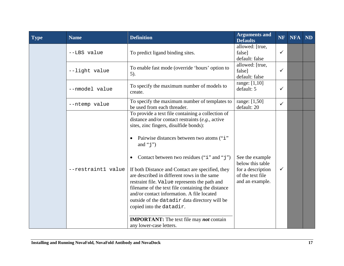| <b>Type</b> | <b>Name</b>        | <b>Definition</b>                                                                                                                                                                                                                                                                                                                                                                                                                                                                                                                                                                                                                                                                                  | <b>Arguments and</b><br><b>Defaults</b>                                                         | <b>NF</b>    | <b>NFA</b> | <b>ND</b> |
|-------------|--------------------|----------------------------------------------------------------------------------------------------------------------------------------------------------------------------------------------------------------------------------------------------------------------------------------------------------------------------------------------------------------------------------------------------------------------------------------------------------------------------------------------------------------------------------------------------------------------------------------------------------------------------------------------------------------------------------------------------|-------------------------------------------------------------------------------------------------|--------------|------------|-----------|
|             | --LBS value        | To predict ligand binding sites.                                                                                                                                                                                                                                                                                                                                                                                                                                                                                                                                                                                                                                                                   | allowed: [true,<br>false]<br>default: false                                                     | $\checkmark$ |            |           |
|             | --light value      | To enable fast mode (override 'hours' option to<br>$5$ ).                                                                                                                                                                                                                                                                                                                                                                                                                                                                                                                                                                                                                                          | allowed: [true,<br>false]<br>default: false                                                     | $\checkmark$ |            |           |
|             | --nmodel value     | To specify the maximum number of models to<br>create.                                                                                                                                                                                                                                                                                                                                                                                                                                                                                                                                                                                                                                              | range: [1,10]<br>default: 5                                                                     | $\checkmark$ |            |           |
|             | --ntemp value      | To specify the maximum number of templates to<br>be used from each threader.                                                                                                                                                                                                                                                                                                                                                                                                                                                                                                                                                                                                                       | range: [1,50]<br>default: 20                                                                    | $\checkmark$ |            |           |
|             | --restraint1 value | To provide a text file containing a collection of<br>distance and/or contact restraints $(e.g.,\text{ active})$<br>sites, zinc fingers, disulfide bonds):<br>Pairwise distances between two atoms ("i"<br>and " $j$ ")<br>Contact between two residues ("i" and "j")<br>٠<br>If both Distance and Contact are specified, they<br>are described in different rows in the same<br>restraint file. Value represents the path and<br>filename of the text file containing the distance<br>and/or contact information. A file located<br>outside of the datadir data directory will be<br>copied into the datadir.<br><b>IMPORTANT:</b> The text file may <b>not</b> contain<br>any lower-case letters. | See the example<br>below this table<br>for a description<br>of the text file<br>and an example. | $\checkmark$ |            |           |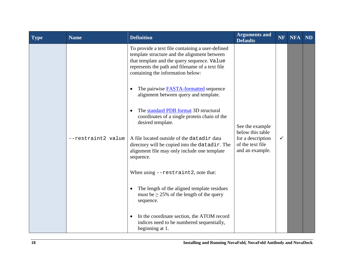| Type | <b>Name</b>        | <b>Definition</b>                                                                                                                                                                                                                                                                                                                | <b>Arguments and</b><br><b>Defaults</b>                                                         | NF           | <b>NFA</b> | <b>ND</b> |
|------|--------------------|----------------------------------------------------------------------------------------------------------------------------------------------------------------------------------------------------------------------------------------------------------------------------------------------------------------------------------|-------------------------------------------------------------------------------------------------|--------------|------------|-----------|
|      | --restraint2 value | To provide a text file containing a user-defined<br>template structure and the alignment between<br>that template and the query sequence. Value<br>represents the path and filename of a text file<br>containing the information below:<br>The pairwise <b>FASTA-formatted</b> sequence<br>alignment between query and template. |                                                                                                 |              |            |           |
|      |                    | The standard PDB format 3D structural<br>coordinates of a single protein chain of the<br>desired template.                                                                                                                                                                                                                       | See the example<br>below this table<br>for a description<br>of the text file<br>and an example. |              |            |           |
|      |                    | A file located outside of the datadir data<br>directory will be copied into the datadir. The<br>alignment file may only include one template<br>sequence.                                                                                                                                                                        |                                                                                                 | $\checkmark$ |            |           |
|      |                    | When using $-$ restraint2, note that:                                                                                                                                                                                                                                                                                            |                                                                                                 |              |            |           |
|      |                    | The length of the aligned template residues<br>must be $\geq$ 25% of the length of the query<br>sequence.                                                                                                                                                                                                                        |                                                                                                 |              |            |           |
|      |                    | In the coordinate section, the ATOM record<br>indices need to be numbered sequentially,<br>beginning at 1.                                                                                                                                                                                                                       |                                                                                                 |              |            |           |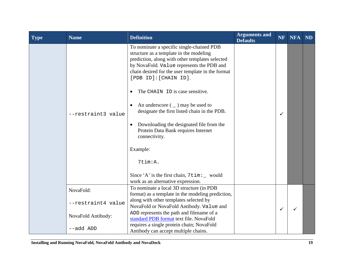| <b>Type</b> | <b>Name</b>        | <b>Definition</b>                                                                                                                                                                                                                                                                                                                                                                                                                                                                                                                                                                                                | <b>Arguments and</b><br><b>Defaults</b> | <b>NF</b>    | <b>NFA</b> | <b>ND</b> |
|-------------|--------------------|------------------------------------------------------------------------------------------------------------------------------------------------------------------------------------------------------------------------------------------------------------------------------------------------------------------------------------------------------------------------------------------------------------------------------------------------------------------------------------------------------------------------------------------------------------------------------------------------------------------|-----------------------------------------|--------------|------------|-----------|
|             | --restraint3 value | To nominate a specific single-chained PDB<br>structure as a template in the modeling<br>prediction, along with other templates selected<br>by NovaFold. Value represents the PDB and<br>chain desired for the user template in the format<br>[PDB ID]: [CHAIN ID].<br>The CHAIN ID is case sensitive.<br>An underscore $($ $)$ may be used to<br>designate the first listed chain in the PDB.<br>Downloading the designated file from the<br>Protein Data Bank requires Internet<br>connectivity.<br>Example:<br>7tim:A.<br>Since 'A' is the first chain, $7\times1$ would<br>work as an alternative expression. |                                         | ✓            |            |           |
|             | NovaFold:          | To nominate a local 3D structure (in PDB<br>format) as a template in the modeling prediction,                                                                                                                                                                                                                                                                                                                                                                                                                                                                                                                    |                                         |              |            |           |
|             | --restraint4 value | along with other templates selected by<br>NovaFold or NovaFold Antibody. Value and                                                                                                                                                                                                                                                                                                                                                                                                                                                                                                                               |                                         | $\checkmark$ |            |           |
|             | NovaFold Antibody: | ADD represents the path and filename of a<br>standard PDB format text file. NovaFold                                                                                                                                                                                                                                                                                                                                                                                                                                                                                                                             |                                         |              |            |           |
|             | --add ADD          | requires a single protein chain; NovaFold<br>Antibody can accept multiple chains.                                                                                                                                                                                                                                                                                                                                                                                                                                                                                                                                |                                         |              |            |           |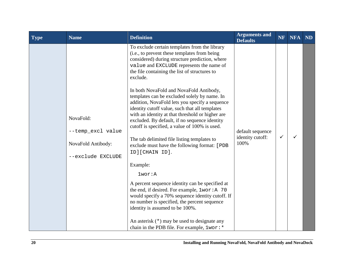| Type | <b>Name</b>                                                               | <b>Definition</b>                                                                                                                                                                                                                                                                                                                                                                                                                                                                                                                                                                                                                                                                                                                                                                                                                                                                                                                                                                                                                                                                                     | <b>Arguments and</b><br><b>Defaults</b>      | <b>NF</b> | <b>NFA</b> | <b>ND</b> |
|------|---------------------------------------------------------------------------|-------------------------------------------------------------------------------------------------------------------------------------------------------------------------------------------------------------------------------------------------------------------------------------------------------------------------------------------------------------------------------------------------------------------------------------------------------------------------------------------------------------------------------------------------------------------------------------------------------------------------------------------------------------------------------------------------------------------------------------------------------------------------------------------------------------------------------------------------------------------------------------------------------------------------------------------------------------------------------------------------------------------------------------------------------------------------------------------------------|----------------------------------------------|-----------|------------|-----------|
|      | NovaFold:<br>--temp_excl value<br>NovaFold Antibody:<br>--exclude EXCLUDE | To exclude certain templates from the library<br>(i.e., to prevent these templates from being<br>considered) during structure prediction, where<br>value and EXCLUDE represents the name of<br>the file containing the list of structures to<br>exclude.<br>In both NovaFold and NovaFold Antibody,<br>templates can be excluded solely by name. In<br>addition, NovaFold lets you specify a sequence<br>identity cutoff value, such that all templates<br>with an identity at that threshold or higher are<br>excluded. By default, if no sequence identity<br>cutoff is specified, a value of 100% is used.<br>The tab delimited file listing templates to<br>exclude must have the following format: [PDB<br>ID][CHAIN ID].<br>Example:<br>$1$ wor: $A$<br>A percent sequence identity can be specified at<br>the end, if desired. For example, 1wor: A 70<br>would specify a 70% sequence identity cutoff. If<br>no number is specified, the percent sequence<br>identity is assumed to be 100%.<br>An asterisk $(*)$ may be used to designate any<br>chain in the PDB file. For example, 1wor: * | default sequence<br>identity cutoff:<br>100% | ✓         | ✓          |           |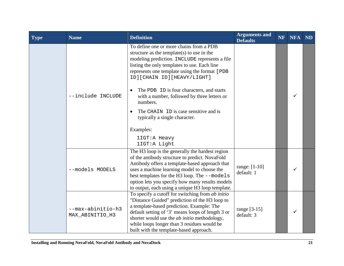| Type | <b>Name</b>                          | <b>Definition</b>                                                                                                                                                                                                                                                                                                                                                                                                                                                                                     | <b>Arguments and</b><br><b>Defaults</b> | <b>NF</b> | <b>NFA</b> | <b>ND</b> |
|------|--------------------------------------|-------------------------------------------------------------------------------------------------------------------------------------------------------------------------------------------------------------------------------------------------------------------------------------------------------------------------------------------------------------------------------------------------------------------------------------------------------------------------------------------------------|-----------------------------------------|-----------|------------|-----------|
|      | --include INCLUDE                    | To define one or more chains from a PDB<br>structure as the template(s) to use in the<br>modeling prediction. INCLUDE represents a file<br>listing the only templates to use. Each line<br>represents one template using the format [PDB<br>ID][CHAIN ID][HEAVY/LIGHT]<br>The PDB ID is four characters, and starts<br>with a number, followed by three letters or<br>numbers.<br>The CHAIN ID is case sensitive and is<br>typically a single character.<br>Examples:<br>1IGT:A Heavy<br>1IGT:A Light |                                         |           | ✓          |           |
|      | --models MODELS                      | The H3 loop is the generally the hardest region<br>of the antibody structure to predict. NovaFold<br>Antibody offers a template-based approach that<br>uses a machine learning model to choose the<br>best templates for the H3 loop. The --models<br>option lets you specify how many results models<br>to output, each using a unique H3 loop template.                                                                                                                                             | range: $[1-10]$<br>default: 1           |           | ✓          |           |
|      | --max-abinitio-h3<br>MAX_ABINITIO_H3 | To specify a cutoff for switching from <i>ab initio</i><br>"Distance Guided" prediction of the H3 loop to<br>a template-based prediction. Example: The<br>default setting of '3' means loops of length 3 or<br>shorter would use the <i>ab initio</i> methodology,<br>while loops longer than 3 residues would be<br>built with the template-based approach.                                                                                                                                          | range [3-15]<br>default: 3              |           | ✓          |           |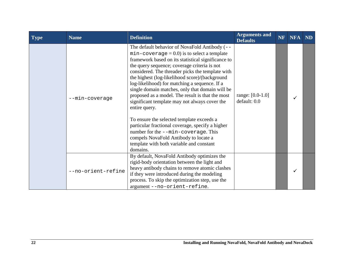| Type | <b>Name</b>        | <b>Definition</b>                                                                                                                                                                                                                                                                                                                                                                                                                                                                                                                                                                                                                                                                                                                                                              | <b>Arguments and</b><br><b>Defaults</b> | <b>NF</b> | <b>NFA</b> | ND |
|------|--------------------|--------------------------------------------------------------------------------------------------------------------------------------------------------------------------------------------------------------------------------------------------------------------------------------------------------------------------------------------------------------------------------------------------------------------------------------------------------------------------------------------------------------------------------------------------------------------------------------------------------------------------------------------------------------------------------------------------------------------------------------------------------------------------------|-----------------------------------------|-----------|------------|----|
|      | --min-coverage     | The default behavior of NovaFold Antibody (--<br>$min$ -coverage = 0.0) is to select a template<br>framework based on its statistical significance to<br>the query sequence; coverage criteria is not<br>considered. The threader picks the template with<br>the highest (log-likelihood score)/(background<br>log-likelihood) for matching a sequence. If a<br>single domain matches, only that domain will be<br>proposed as a model. The result is that the most<br>significant template may not always cover the<br>entire query.<br>To ensure the selected template exceeds a<br>particular fractional coverage, specify a higher<br>number for the --min-coverage. This<br>compels NovaFold Antibody to locate a<br>template with both variable and constant<br>domains. | range: $[0.0-1.0]$<br>default: 0.0      |           |            |    |
|      | --no-orient-refine | By default, NovaFold Antibody optimizes the<br>rigid-body orientation between the light and<br>heavy antibody chains to remove atomic clashes<br>if they were introduced during the modeling<br>process. To skip the optimization step, use the<br>argument--no-orient-refine.                                                                                                                                                                                                                                                                                                                                                                                                                                                                                                 |                                         |           |            |    |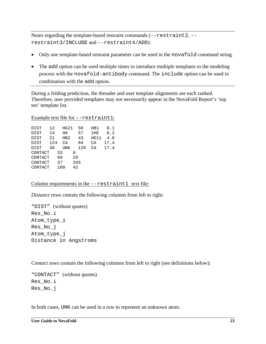Notes regarding the template-based restraint commands  $(-r$ estraint 2,  $$ restraint3/INCLUDE and --restraint4/ADD):

- Only one template-based restraint parameter can be used in the novafold command string.
- The add option can be used multiple times to introduce multiple templates to the modeling process with the novafold-antibody command. The include option can be used in combination with the add option.

During a folding prediction, the threader and user template alignments are each ranked. Therefore, user provided templates may not necessarily appear in the NovaFold Report's 'top ten' template list.

#### Example text file for --restraint1:

| DIST        | 12  | HG21 | 50  | HB1  | 8.1  |
|-------------|-----|------|-----|------|------|
| DIST        | 14  | ΗA   | 57  | 1HE  | 6.2  |
| <b>DIST</b> | 21  | HB2  | 43  | HD11 | 4.0  |
| DIST        | 124 | СĀ   | 84  | СA   | 17.4 |
| DIST        | 36  | UNK  | 120 | СA   | 17.4 |
| CONTACT     |     | 33   | 6   |      |      |
| CONTACT     |     | 60   | 29  |      |      |
| CONTACT     |     | 37   | 345 |      |      |
| CONTACT     |     | 109  | 42  |      |      |
|             |     |      |     |      |      |

#### Column requirements in the --restraint1 text file:

*Distance* rows contain the following columns from left to right:

"DIST" (without quotes) Res\_No.i Atom\_type\_i Res\_No\_j Atom\_type\_j Distance in Angstroms

*Contact* rows contain the following columns from left to right (see definitions below):

"CONTACT" (without quotes) Res\_No.i Res\_No.j

In both cases, UNK can be used in a row to represent an unknown atom.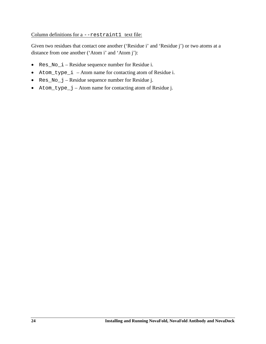#### Column definitions for a --restraint1 text file:

Given two residues that contact one another ('Residue i' and 'Residue j') or two atoms at a distance from one another ('Atom i' and 'Atom j'):

- Res\_No\_i Residue sequence number for Residue i.
- Atom\_type\_i Atom name for contacting atom of Residue i.
- Res\_No\_j Residue sequence number for Residue j.
- Atom\_type\_j Atom name for contacting atom of Residue j.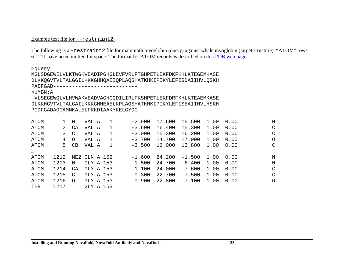#### Example text file for --restraint2:

The following is a -restraint2 file for mammoth myoglobin (query) against whale myoglobin (target structure). "ATOM" rows 6-1211 have been omitted for space. The format for ATOM records is described on [this PDB web page.](http://www.wwpdb.org/documentation/file-format-content/format33/sect9.html#ATOM)

>query

MGLSDGEWELVLKTWGKVEADIPGHGLEVFVRLFTGHPETLEKFDKFKHLKTEGEMKASE DLKKQGVTVLTALGGILKKKGHHQAEIQPLAQSHATKHKIPIKYLEFISDAIIHVLQSKH PAEFGAD--------------------------

>1MBN:A

-VLSEGEWQLVLHVWAKVEADVAGHGQDILIRLFKSHPETLEKFDRFKHLKTEAEMKASE DLKKHGVTVLTALGAILKKKGHHEAELKPLAQSHATKHKIPIKYLEFISEAIIHVLHSRH PGDFGADAQGAMNKALELFRKDIAAKYKELGYQG

| ATOM     |      | N       | VAL A         | 1 | $-2.900$ | 17.600 | 15.500   | 1.00 | 0.00 | N       |
|----------|------|---------|---------------|---|----------|--------|----------|------|------|---------|
| ATOM     | 2    | CA      | VAL A         | 1 | $-3.600$ | 16.400 | 15.300   | 1.00 | 0.00 | C       |
| ATOM     | 3    | C)      | VAL A         | 1 | $-3.000$ | 15.300 | 16.200   | 1.00 | 0.00 | C       |
| ATOM     | 4    | $\circ$ | VAL A         | 1 | $-3.700$ | 14.700 | 17.000   | 1.00 | 0.00 | $\circ$ |
| ATOM     | 5.   | CB      | VAL A         | 1 | $-3.500$ | 16.000 | 13.800   | 1.00 | 0.00 | C       |
| $\cdots$ |      |         |               |   |          |        |          |      |      |         |
| ATOM     | 1212 |         | NE2 GLN A 152 |   | $-1.600$ | 24.200 | $-1.500$ | 1.00 | 0.00 | N       |
| ATOM     | 1213 | N       | GLY A 153     |   | 1.500    | 24.700 | $-6.400$ | 1.00 | 0.00 | N       |
| ATOM     | 1214 | CA      | GLY A 153     |   | 1,100    | 24,000 | $-7.600$ | 1.00 | 0.00 | C       |
| ATOM     | 1215 | C       | GLY A 153     |   | 0.300    | 22.700 | $-7.500$ | 1.00 | 0.00 | C       |
| ATOM     | 1216 | $\circ$ | GLY A 153     |   | $-0.900$ | 22.800 | $-7.100$ | 1.00 | 0.00 | $\circ$ |
| TER      | 1217 |         | GLY A 153     |   |          |        |          |      |      |         |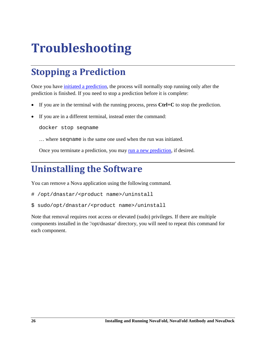## <span id="page-26-3"></span><span id="page-26-0"></span>**Troubleshooting**

### <span id="page-26-1"></span>**Stopping a Prediction**

Once you have [initiated a prediction,](#page-8-1) the process will normally stop running only after the prediction is finished. If you need to stop a prediction before it is complete:

- If you are in the terminal with the running process, press  $Ctrl + C$  to stop the prediction.
- If you are in a different terminal, instead enter the command:

docker stop seqname

… where seqname is the same one used when the run was initiated.

Once you terminate a prediction, you may [run a new prediction,](#page-8-1) if desired.

### <span id="page-26-2"></span>**Uninstalling the Software**

You can remove a Nova application using the following command.

- # /opt/dnastar/<product name>/uninstall
- \$ sudo/opt/dnastar/<product name>/uninstall

Note that removal requires root access or elevated (sudo) privileges. If there are multiple components installed in the '/opt/dnastar' directory, you will need to repeat this command for each component.